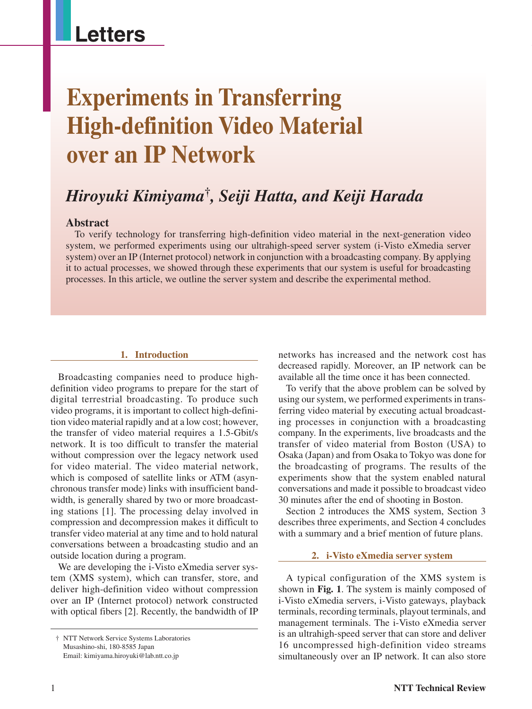## **Letters**

# **Experiments in Transferring High-definition Video Material over an IP Network**

### *Hiroyuki Kimiyama***†***, Seiji Hatta, and Keiji Harada*

#### **Abstract**

To verify technology for transferring high-definition video material in the next-generation video system, we performed experiments using our ultrahigh-speed server system (i-Visto eXmedia server system) over an IP (Internet protocol) network in conjunction with a broadcasting company. By applying it to actual processes, we showed through these experiments that our system is useful for broadcasting processes. In this article, we outline the server system and describe the experimental method.

#### **1. Introduction**

Broadcasting companies need to produce highdefinition video programs to prepare for the start of digital terrestrial broadcasting. To produce such video programs, it is important to collect high-definition video material rapidly and at a low cost; however, the transfer of video material requires a 1.5-Gbit/s network. It is too difficult to transfer the material without compression over the legacy network used for video material. The video material network, which is composed of satellite links or ATM (asynchronous transfer mode) links with insufficient bandwidth, is generally shared by two or more broadcasting stations [1]. The processing delay involved in compression and decompression makes it difficult to transfer video material at any time and to hold natural conversations between a broadcasting studio and an outside location during a program.

We are developing the i-Visto eXmedia server system (XMS system), which can transfer, store, and deliver high-definition video without compression over an IP (Internet protocol) network constructed with optical fibers [2]. Recently, the bandwidth of IP

networks has increased and the network cost has decreased rapidly. Moreover, an IP network can be available all the time once it has been connected.

To verify that the above problem can be solved by using our system, we performed experiments in transferring video material by executing actual broadcasting processes in conjunction with a broadcasting company. In the experiments, live broadcasts and the transfer of video material from Boston (USA) to Osaka (Japan) and from Osaka to Tokyo was done for the broadcasting of programs. The results of the experiments show that the system enabled natural conversations and made it possible to broadcast video 30 minutes after the end of shooting in Boston.

Section 2 introduces the XMS system, Section 3 describes three experiments, and Section 4 concludes with a summary and a brief mention of future plans.

#### **2. i-Visto eXmedia server system**

A typical configuration of the XMS system is shown in **Fig. 1**. The system is mainly composed of i-Visto eXmedia servers, i-Visto gateways, playback terminals, recording terminals, playout terminals, and management terminals. The i-Visto eXmedia server is an ultrahigh-speed server that can store and deliver 16 uncompressed high-definition video streams simultaneously over an IP network. It can also store

<sup>†</sup> NTT Network Service Systems Laboratories Musashino-shi, 180-8585 Japan Email: kimiyama.hiroyuki@lab.ntt.co.jp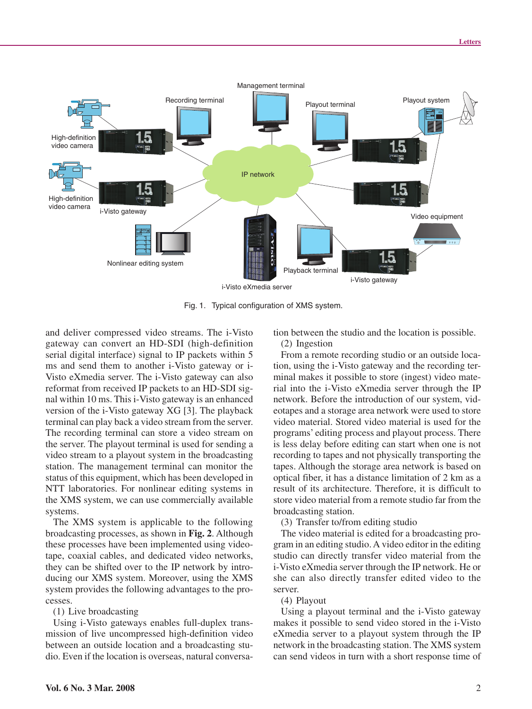

Fig. 1. Typical configuration of XMS system.

and deliver compressed video streams. The i-Visto gateway can convert an HD-SDI (high-definition serial digital interface) signal to IP packets within 5 ms and send them to another i-Visto gateway or i-Visto eXmedia server. The i-Visto gateway can also reformat from received IP packets to an HD-SDI signal within 10 ms. This i-Visto gateway is an enhanced version of the i-Visto gateway XG [3]. The playback terminal can play back a video stream from the server. The recording terminal can store a video stream on the server. The playout terminal is used for sending a video stream to a playout system in the broadcasting station. The management terminal can monitor the status of this equipment, which has been developed in NTT laboratories. For nonlinear editing systems in the XMS system, we can use commercially available systems.

The XMS system is applicable to the following broadcasting processes, as shown in **Fig. 2**. Although these processes have been implemented using videotape, coaxial cables, and dedicated video networks, they can be shifted over to the IP network by introducing our XMS system. Moreover, using the XMS system provides the following advantages to the processes.

(1) Live broadcasting

Using i-Visto gateways enables full-duplex transmission of live uncompressed high-definition video between an outside location and a broadcasting studio. Even if the location is overseas, natural conversation between the studio and the location is possible.

(2) Ingestion

From a remote recording studio or an outside location, using the i-Visto gateway and the recording terminal makes it possible to store (ingest) video material into the i-Visto eXmedia server through the IP network. Before the introduction of our system, videotapes and a storage area network were used to store video material. Stored video material is used for the programs' editing process and playout process. There is less delay before editing can start when one is not recording to tapes and not physically transporting the tapes. Although the storage area network is based on optical fiber, it has a distance limitation of 2 km as a result of its architecture. Therefore, it is difficult to store video material from a remote studio far from the broadcasting station.

(3) Transfer to/from editing studio

The video material is edited for a broadcasting program in an editing studio. A video editor in the editing studio can directly transfer video material from the i-Visto eXmedia server through the IP network. He or she can also directly transfer edited video to the server.

(4) Playout

Using a playout terminal and the i-Visto gateway makes it possible to send video stored in the i-Visto eXmedia server to a playout system through the IP network in the broadcasting station. The XMS system can send videos in turn with a short response time of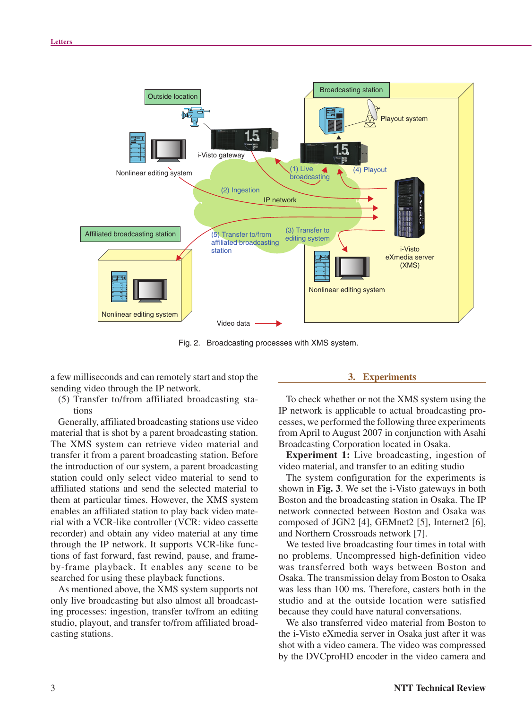

Fig. 2. Broadcasting processes with XMS system.

a few milliseconds and can remotely start and stop the sending video through the IP network.

(5) Transfer to/from affiliated broadcasting stations

Generally, affiliated broadcasting stations use video material that is shot by a parent broadcasting station. The XMS system can retrieve video material and transfer it from a parent broadcasting station. Before the introduction of our system, a parent broadcasting station could only select video material to send to affiliated stations and send the selected material to them at particular times. However, the XMS system enables an affiliated station to play back video material with a VCR-like controller (VCR: video cassette recorder) and obtain any video material at any time through the IP network. It supports VCR-like functions of fast forward, fast rewind, pause, and frameby-frame playback. It enables any scene to be searched for using these playback functions.

As mentioned above, the XMS system supports not only live broadcasting but also almost all broadcasting processes: ingestion, transfer to/from an editing studio, playout, and transfer to/from affiliated broadcasting stations.

#### **3. Experiments**

To check whether or not the XMS system using the IP network is applicable to actual broadcasting processes, we performed the following three experiments from April to August 2007 in conjunction with Asahi Broadcasting Corporation located in Osaka.

**Experiment 1:** Live broadcasting, ingestion of video material, and transfer to an editing studio

The system configuration for the experiments is shown in **Fig. 3**. We set the i-Visto gateways in both Boston and the broadcasting station in Osaka. The IP network connected between Boston and Osaka was composed of JGN2 [4], GEMnet2 [5], Internet2 [6], and Northern Crossroads network [7].

We tested live broadcasting four times in total with no problems. Uncompressed high-definition video was transferred both ways between Boston and Osaka. The transmission delay from Boston to Osaka was less than 100 ms. Therefore, casters both in the studio and at the outside location were satisfied because they could have natural conversations.

We also transferred video material from Boston to the i-Visto eXmedia server in Osaka just after it was shot with a video camera. The video was compressed by the DVCproHD encoder in the video camera and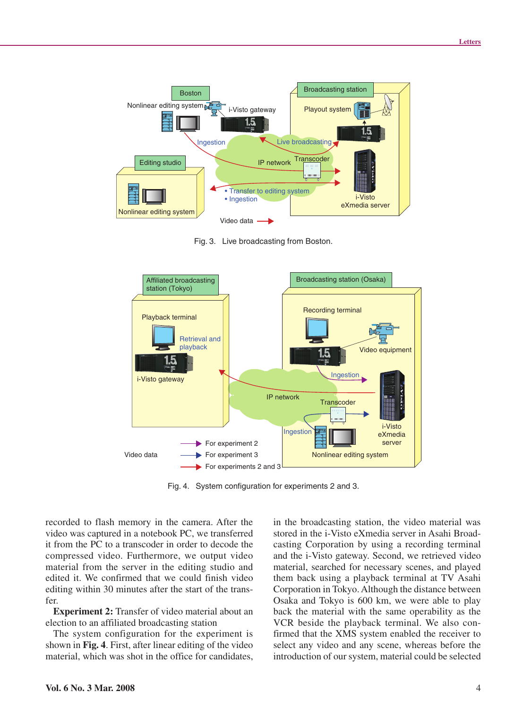

Fig. 3. Live broadcasting from Boston.



Fig. 4. System configuration for experiments 2 and 3.

recorded to flash memory in the camera. After the video was captured in a notebook PC, we transferred it from the PC to a transcoder in order to decode the compressed video. Furthermore, we output video material from the server in the editing studio and edited it. We confirmed that we could finish video editing within 30 minutes after the start of the transfer.

**Experiment 2:** Transfer of video material about an election to an affiliated broadcasting station

The system configuration for the experiment is shown in **Fig. 4**. First, after linear editing of the video material, which was shot in the office for candidates, in the broadcasting station, the video material was stored in the i-Visto eXmedia server in Asahi Broadcasting Corporation by using a recording terminal and the i-Visto gateway. Second, we retrieved video material, searched for necessary scenes, and played them back using a playback terminal at TV Asahi Corporation in Tokyo. Although the distance between Osaka and Tokyo is 600 km, we were able to play back the material with the same operability as the VCR beside the playback terminal. We also confirmed that the XMS system enabled the receiver to select any video and any scene, whereas before the introduction of our system, material could be selected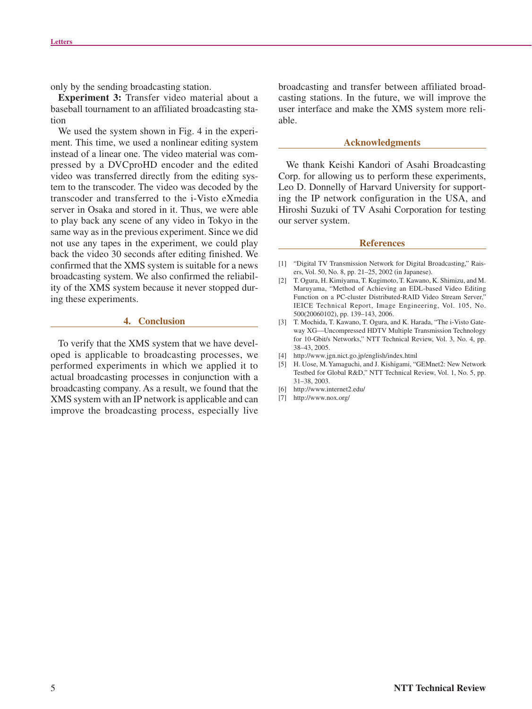only by the sending broadcasting station.

**Experiment 3:** Transfer video material about a baseball tournament to an affiliated broadcasting station

We used the system shown in Fig. 4 in the experiment. This time, we used a nonlinear editing system instead of a linear one. The video material was compressed by a DVCproHD encoder and the edited video was transferred directly from the editing system to the transcoder. The video was decoded by the transcoder and transferred to the i-Visto eXmedia server in Osaka and stored in it. Thus, we were able to play back any scene of any video in Tokyo in the same way as in the previous experiment. Since we did not use any tapes in the experiment, we could play back the video 30 seconds after editing finished. We confirmed that the XMS system is suitable for a news broadcasting system. We also confirmed the reliability of the XMS system because it never stopped during these experiments.

#### **4. Conclusion**

To verify that the XMS system that we have developed is applicable to broadcasting processes, we performed experiments in which we applied it to actual broadcasting processes in conjunction with a broadcasting company. As a result, we found that the XMS system with an IP network is applicable and can improve the broadcasting process, especially live

broadcasting and transfer between affiliated broadcasting stations. In the future, we will improve the user interface and make the XMS system more reliable.

#### **Acknowledgments**

We thank Keishi Kandori of Asahi Broadcasting Corp. for allowing us to perform these experiments, Leo D. Donnelly of Harvard University for supporting the IP network configuration in the USA, and Hiroshi Suzuki of TV Asahi Corporation for testing our server system.

#### **References**

- [1] "Digital TV Transmission Network for Digital Broadcasting," Raisers, Vol. 50, No. 8, pp. 21–25, 2002 (in Japanese).
- [2] T. Ogura, H. Kimiyama, T. Kugimoto, T. Kawano, K. Shimizu, and M. Maruyama, "Method of Achieving an EDL-based Video Editing Function on a PC-cluster Distributed-RAID Video Stream Server, IEICE Technical Report, Image Engineering, Vol. 105, No. 500(20060102), pp. 139–143, 2006.
- [3] T. Mochida, T. Kawano, T. Ogura, and K. Harada, "The i-Visto Gateway XG—Uncompressed HDTV Multiple Transmission Technology for 10-Gbit/s Networks," NTT Technical Review, Vol. 3, No. 4, pp. 38–43, 2005.
- [4] http://www.jgn.nict.go.jp/english/index.html
- [5] H. Uose, M. Yamaguchi, and J. Kishigami, "GEMnet2: New Network Testbed for Global R&D," NTT Technical Review, Vol. 1, No. 5, pp. 31–38, 2003.
- [6] http://www.internet2.edu/
- [7] http://www.nox.org/